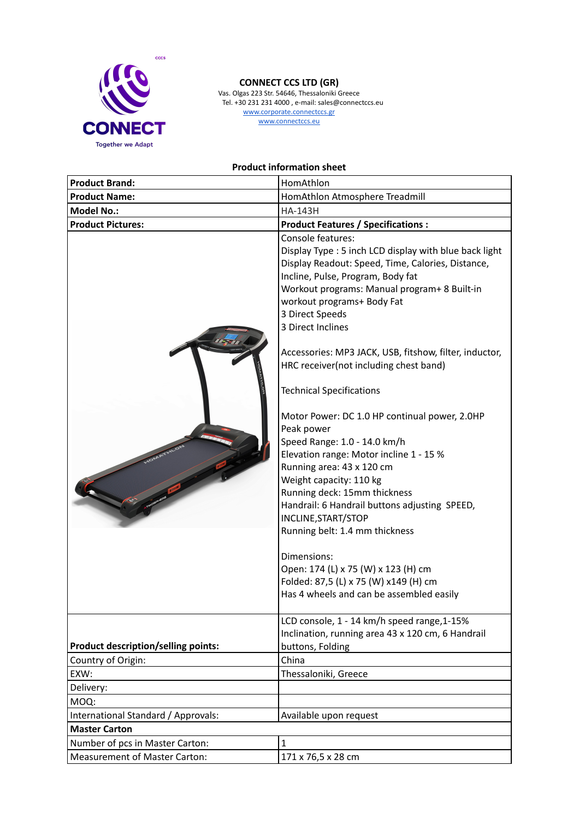

## **CONNECT CCS LTD (GR)**

Vas. Olgas 223 Str. 54646, Thessaloniki Greece Tel. +30 231 231 4000 , e-mail: sales@connectccs.eu www.corporate.connectccs.gr www.connectccs.eu

**Product information sheet**

| <b>Product Brand:</b>                      | HomAthlon                                                                                                                                                                                                                                                                                                                                                                                                                                                                                                                                                                                                                                                                                                                                                                                                                                                                                                                |
|--------------------------------------------|--------------------------------------------------------------------------------------------------------------------------------------------------------------------------------------------------------------------------------------------------------------------------------------------------------------------------------------------------------------------------------------------------------------------------------------------------------------------------------------------------------------------------------------------------------------------------------------------------------------------------------------------------------------------------------------------------------------------------------------------------------------------------------------------------------------------------------------------------------------------------------------------------------------------------|
| <b>Product Name:</b>                       | HomAthlon Atmosphere Treadmill                                                                                                                                                                                                                                                                                                                                                                                                                                                                                                                                                                                                                                                                                                                                                                                                                                                                                           |
| <b>Model No.:</b>                          | <b>HA-143H</b>                                                                                                                                                                                                                                                                                                                                                                                                                                                                                                                                                                                                                                                                                                                                                                                                                                                                                                           |
| <b>Product Pictures:</b>                   | <b>Product Features / Specifications:</b>                                                                                                                                                                                                                                                                                                                                                                                                                                                                                                                                                                                                                                                                                                                                                                                                                                                                                |
|                                            | Console features:<br>Display Type: 5 inch LCD display with blue back light<br>Display Readout: Speed, Time, Calories, Distance,<br>Incline, Pulse, Program, Body fat<br>Workout programs: Manual program+ 8 Built-in<br>workout programs+ Body Fat<br>3 Direct Speeds<br>3 Direct Inclines<br>Accessories: MP3 JACK, USB, fitshow, filter, inductor,<br>HRC receiver(not including chest band)<br><b>Technical Specifications</b><br>Motor Power: DC 1.0 HP continual power, 2.0HP<br>Peak power<br>Speed Range: 1.0 - 14.0 km/h<br>Elevation range: Motor incline 1 - 15 %<br>Running area: 43 x 120 cm<br>Weight capacity: 110 kg<br>Running deck: 15mm thickness<br>Handrail: 6 Handrail buttons adjusting SPEED,<br>INCLINE, START/STOP<br>Running belt: 1.4 mm thickness<br>Dimensions:<br>Open: 174 (L) x 75 (W) x 123 (H) cm<br>Folded: 87,5 (L) x 75 (W) x149 (H) cm<br>Has 4 wheels and can be assembled easily |
| <b>Product description/selling points:</b> | LCD console, 1 - 14 km/h speed range, 1-15%<br>Inclination, running area 43 x 120 cm, 6 Handrail<br>buttons, Folding                                                                                                                                                                                                                                                                                                                                                                                                                                                                                                                                                                                                                                                                                                                                                                                                     |
| Country of Origin:                         | China                                                                                                                                                                                                                                                                                                                                                                                                                                                                                                                                                                                                                                                                                                                                                                                                                                                                                                                    |
| EXW:                                       | Thessaloniki, Greece                                                                                                                                                                                                                                                                                                                                                                                                                                                                                                                                                                                                                                                                                                                                                                                                                                                                                                     |
| Delivery:                                  |                                                                                                                                                                                                                                                                                                                                                                                                                                                                                                                                                                                                                                                                                                                                                                                                                                                                                                                          |
| MOQ:                                       |                                                                                                                                                                                                                                                                                                                                                                                                                                                                                                                                                                                                                                                                                                                                                                                                                                                                                                                          |
| International Standard / Approvals:        | Available upon request                                                                                                                                                                                                                                                                                                                                                                                                                                                                                                                                                                                                                                                                                                                                                                                                                                                                                                   |
| <b>Master Carton</b>                       |                                                                                                                                                                                                                                                                                                                                                                                                                                                                                                                                                                                                                                                                                                                                                                                                                                                                                                                          |
| Number of pcs in Master Carton:            | $\mathbf{1}$                                                                                                                                                                                                                                                                                                                                                                                                                                                                                                                                                                                                                                                                                                                                                                                                                                                                                                             |
| <b>Measurement of Master Carton:</b>       | 171 x 76,5 x 28 cm                                                                                                                                                                                                                                                                                                                                                                                                                                                                                                                                                                                                                                                                                                                                                                                                                                                                                                       |